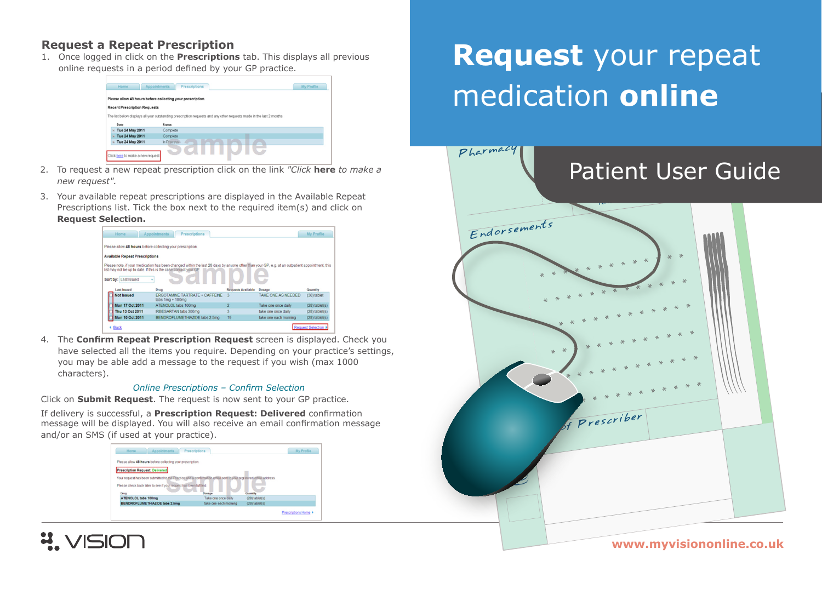### **Request a Repeat Prescription**

1. Once logged in click on the **Prescriptions** tab. This displays all previous online requests in a period defined by your GP practice.



- 2. To request a new repeat prescription click on the link "Click here to make a new reauest".
- 3. Your available repeat prescriptions are displayed in the Available Repeat Prescriptions list. Tick the box next to the required item(s) and click on **Request Selection.**



4. The Confirm Repeat Prescription Request screen is displayed. Check you have selected all the items you require. Depending on your practice's settings, you may be able add a message to the request if you wish (max 1000 characters).

#### **Online Prescriptions - Confirm Selection**

Click on Submit Request. The request is now sent to your GP practice.

If delivery is successful, a Prescription Request: Delivered confirmation message will be displayed. You will also receive an email confirmation message and/or an SMS (if used at your practice).





# Request your repeat medication online